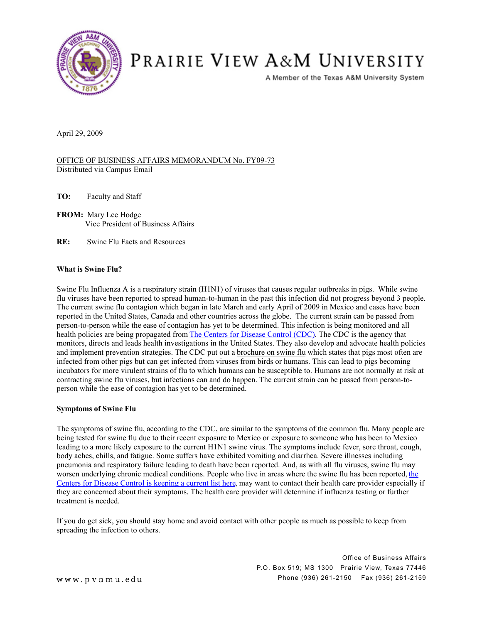

# PRAIRIE VIEW A&M UNIVERSITY

A Member of the Texas A&M University System

April 29, 2009

### OFFICE OF BUSINESS AFFAIRS MEMORANDUM No. FY09-73 Distributed via Campus Email

**TO:** Faculty and Staff

**FROM:** Mary Lee Hodge Vice President of Business Affairs

**RE:** Swine Flu Facts and Resources

### **What is Swine Flu?**

Swine Flu Influenza A is a respiratory strain (H1N1) of viruses that causes regular outbreaks in pigs. While swine flu viruses have been reported to spread human-to-human in the past this infection did not progress beyond 3 people. The current swine flu contagion which began in late March and early April of 2009 in Mexico and cases have been reported in the United States, Canada and other countries across the globe. The current strain can be passed from person-to-person while the ease of contagion has yet to be determined. This infection is being monitored and all health policies are being propagated from [The Centers for Disease Control \(CDC\)](http://www.cdc.gov/). The CDC is the agency that monitors, directs and leads health investigations in the United States. They also develop and advocate health policies and implement prevention strategies. The CDC put out a [brochure on swine flu](http://www.cdc.gov/swineflu/pdf/brochure.pdf) which states that pigs most often are infected from other pigs but can get infected from viruses from birds or humans. This can lead to pigs becoming incubators for more virulent strains of flu to which humans can be susceptible to. Humans are not normally at risk at contracting swine flu viruses, but infections can and do happen. The current strain can be passed from person-toperson while the ease of contagion has yet to be determined.

### **Symptoms of Swine Flu**

The symptoms of swine flu, according to the CDC, are similar to the symptoms of the common flu. Many people are being tested for swine flu due to their recent exposure to Mexico or exposure to someone who has been to Mexico leading to a more likely exposure to the current H1N1 swine virus. The symptoms include fever, sore throat, cough, body aches, chills, and fatigue. Some suffers have exhibited vomiting and diarrhea. Severe illnesses including pneumonia and respiratory failure leading to death have been reported. And, as with all flu viruses, swine flu may worsen underlying chronic medical conditions. People who live in areas where [the](http://www.cdc.gov/swineflu/index.htm) swine flu has been reported, the [Centers for Disease Control is keeping a current list here,](http://www.cdc.gov/swineflu/index.htm) may want to contact their health care provider especially if they are concerned about their symptoms. The health care provider will determine if influenza testing or further treatment is needed.

If you do get sick, you should stay home and avoid contact with other people as much as possible to keep from spreading the infection to others.

> Office of Business Affairs P.O. Box 519; MS 1300 Prairie View, Texas 77446 Phone (936) 261-2150 Fax (936) 261-2159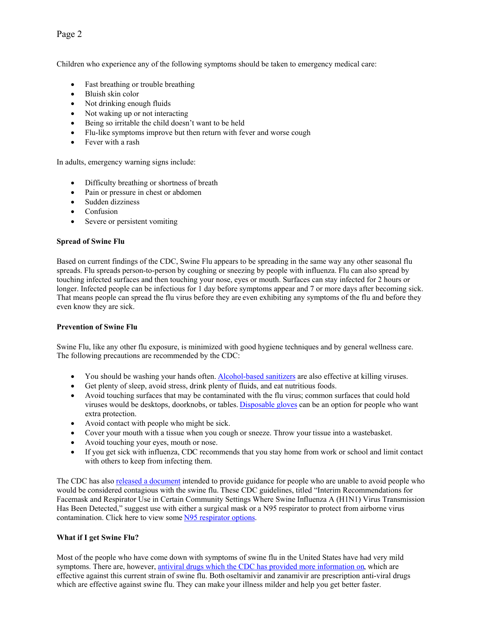# Page 2

Children who experience any of the following symptoms should be taken to emergency medical care:

- Fast breathing or trouble breathing
- Bluish skin color
- Not drinking enough fluids
- Not waking up or not interacting
- Being so irritable the child doesn't want to be held
- ! Flu-like symptoms improve but then return with fever and worse cough
- Fever with a rash

In adults, emergency warning signs include:

- Difficulty breathing or shortness of breath
- Pain or pressure in chest or abdomen
- Sudden dizziness
- Confusion
- Severe or persistent vomiting

## **Spread of Swine Flu**

Based on current findings of the CDC, Swine Flu appears to be spreading in the same way any other seasonal flu spreads. Flu spreads person-to-person by coughing or sneezing by people with influenza. Flu can also spread by touching infected surfaces and then touching your nose, eyes or mouth. Surfaces can stay infected for 2 hours or longer. Infected people can be infectious for 1 day before symptoms appear and 7 or more days after becoming sick. That means people can spread the flu virus before they are even exhibiting any symptoms of the flu and before they even know they are sick.

# **Prevention of Swine Flu**

Swine Flu, like any other flu exposure, is minimized with good hygiene techniques and by general wellness care. The following precautions are recommended by the CDC:

- You should be washing your hands often. [Alcohol-based sanitizers](http://www.labsafety.com/search/hand%2Bsanitizer/) are also effective at killing viruses.
- Get plenty of sleep, avoid stress, drink plenty of fluids, and eat nutritious foods.
- ! Avoid touching surfaces that may be contaminated with the flu virus; common surfaces that could hold viruses would be desktops, doorknobs, or tables. [Disposable gloves](http://www.labsafety.com/search/121955/24532339/) can be an option for people who want extra protection.
- ! Avoid contact with people who might be sick.
- ! Cover your mouth with a tissue when you cough or sneeze. Throw your tissue into a wastebasket.
- Avoid touching your eyes, mouth or nose.
- ! If you get sick with influenza, CDC recommends that you stay home from work or school and limit contact with others to keep from infecting them.

The CDC has also [released a document](http://www.cdc.gov/swineflu/masks.htm) intended to provide guidance for people who are unable to avoid people who would be considered contagious with the swine flu. These CDC guidelines, titled "Interim Recommendations for Facemask and Respirator Use in Certain Community Settings Where Swine Influenza A (H1N1) Virus Transmission Has Been Detected," suggest use with either a surgical mask or a N95 respirator to protect from airborne virus contamination. Click here to view some [N95 respirator options.](http://www.labsafety.com/store/Safety_Supplies/Respirators/Disposable_Respirators/)

# **What if I get Swine Flu?**

Most of the people who have come down with symptoms of swine flu in the United States have had very mild symptoms. There are, however, [antiviral drugs which the CDC has provided more information on,](http://www.cdc.gov/swineflu/antiviral_swine.htm) which are effective against this current strain of swine flu. Both oseltamivir and zanamivir are prescription anti-viral drugs which are effective against swine flu. They can make your illness milder and help you get better faster.